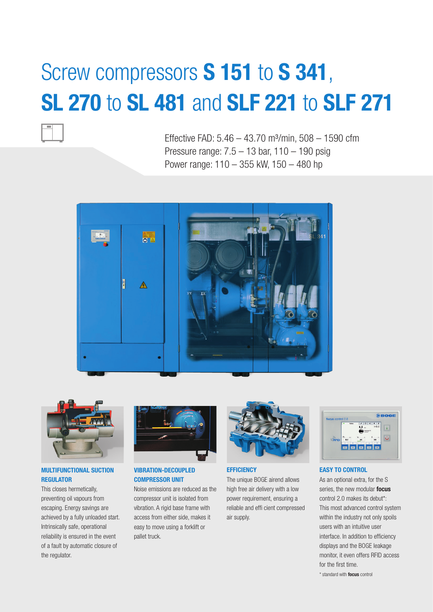# Screw compressors **S 151** to **S 341**, **SL 270** to **SL 481** and **SLF 221** to **SLF 271**

Effective FAD:  $5.46 - 43.70$  m<sup>3</sup>/min,  $508 - 1590$  cfm Pressure range: 7.5 – 13 bar, 110 – 190 psig Power range: 110 – 355 kW, 150 – 480 hp





# **MULTIFUNCTIONAL SUCTION REGULATOR**

This closes hermetically, preventing oil vapours from escaping. Energy savings are achieved by a fully unloaded start. Intrinsically safe, operational reliability is ensured in the event of a fault by automatic closure of the regulator.



## **VIBRATION-DECOUPLED COMPRESSOR UNIT**

Noise emissions are reduced as the compressor unit is isolated from vibration. A rigid base frame with access from either side, makes it easy to move using a forklift or pallet truck.



#### **EFFICIENCY**

The unique BOGE airend allows high free air delivery with a low power requirement, ensuring a reliable and effi cient compressed air supply.



### **EASY TO CONTROL**

As an optional extra, for the S series, the new modular **focus** control 2.0 makes its debut\*: This most advanced control system within the industry not only spoils users with an intuitive user interface. In addition to efficiency displays and the BOGE leakage monitor, it even offers RFID access for the first time.

\* standard with **focus** control